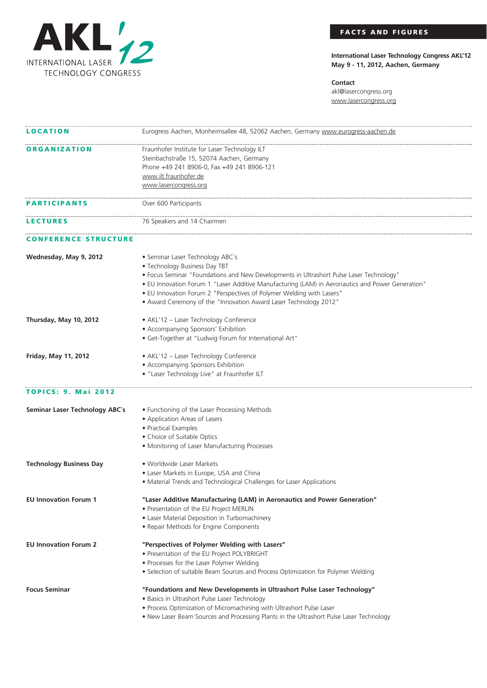

## **FACTS AND FIGURES**

**International Laser Technology Congress AKL'12 May 9 - 11, 2012, Aachen, Germany**

**Contact** akl@lasercongress.org www.lasercongress.org

| <b>LOCATION</b>                | Eurogress Aachen, Monheimsallee 48, 52062 Aachen, Germany www.eurogress-aachen.de                |
|--------------------------------|--------------------------------------------------------------------------------------------------|
| <b>ORGANIZATION</b>            | Fraunhofer Institute for Laser Technology ILT                                                    |
|                                | Steinbachstraße 15, 52074 Aachen, Germany                                                        |
|                                | Phone +49 241 8906-0, Fax +49 241 8906-121                                                       |
|                                | www.ilt.fraunhofer.de                                                                            |
|                                | www.lasercongress.org                                                                            |
| <b>PARTICIPANTS</b>            | Over 600 Participants                                                                            |
| <b>LECTURES</b>                | 76 Speakers and 14 Chairmen                                                                      |
| <b>CONFERENCE STRUCTURE</b>    |                                                                                                  |
| Wednesday, May 9, 2012         | • Seminar Laser Technology ABC's                                                                 |
|                                | • Technology Business Day TBT                                                                    |
|                                | • Focus Seminar "Foundations and New Developments in Ultrashort Pulse Laser Technology"          |
|                                | . EU Innovation Forum 1 "Laser Additive Manufacturing (LAM) in Aeronautics and Power Generation" |
|                                | . EU Innovation Forum 2 "Perspectives of Polymer Welding with Lasers"                            |
|                                | • Award Ceremony of the "Innovation Award Laser Technology 2012"                                 |
| Thursday, May 10, 2012         | · AKL'12 - Laser Technology Conference                                                           |
|                                | • Accompanying Sponsors' Exhibition                                                              |
|                                | · Get-Together at "Ludwig Forum for International Art"                                           |
| <b>Friday, May 11, 2012</b>    | · AKL'12 - Laser Technology Conference                                                           |
|                                | • Accompanying Sponsors Exhibition                                                               |
|                                | · "Laser Technology Live" at Fraunhofer ILT                                                      |
| <b>TOPICS: 9. Mai 2012</b>     |                                                                                                  |
| Seminar Laser Technology ABC's | • Functioning of the Laser Processing Methods                                                    |
|                                | • Application Areas of Lasers                                                                    |
|                                | · Practical Examples                                                                             |
|                                | • Choice of Suitable Optics                                                                      |
|                                | • Monitoring of Laser Manufacturing Processes                                                    |
| <b>Technology Business Day</b> | • Worldwide Laser Markets                                                                        |
|                                | • Laser Markets in Europe, USA and China                                                         |
|                                | • Material Trends and Technological Challenges for Laser Applications                            |
| <b>EU Innovation Forum 1</b>   | "Laser Additive Manufacturing (LAM) in Aeronautics and Power Generation"                         |
|                                | • Presentation of the EU Project MERLIN                                                          |
|                                | • Laser Material Deposition in Turbomachinery                                                    |
|                                | • Repair Methods for Engine Components                                                           |
| <b>EU Innovation Forum 2</b>   | "Perspectives of Polymer Welding with Lasers"                                                    |
|                                | • Presentation of the EU Project POLYBRIGHT                                                      |
|                                | • Processes for the Laser Polymer Welding                                                        |
|                                | · Selection of suitable Beam Sources and Process Optimization for Polymer Welding                |
| <b>Focus Seminar</b>           | "Foundations and New Developments in Ultrashort Pulse Laser Technology"                          |
|                                | · Basics in Ultrashort Pulse Laser Technology                                                    |
|                                | . Process Optimization of Micromachining with Ultrashort Pulse Laser                             |
|                                | . New Laser Beam Sources and Processing Plants in the Ultrashort Pulse Laser Technology          |